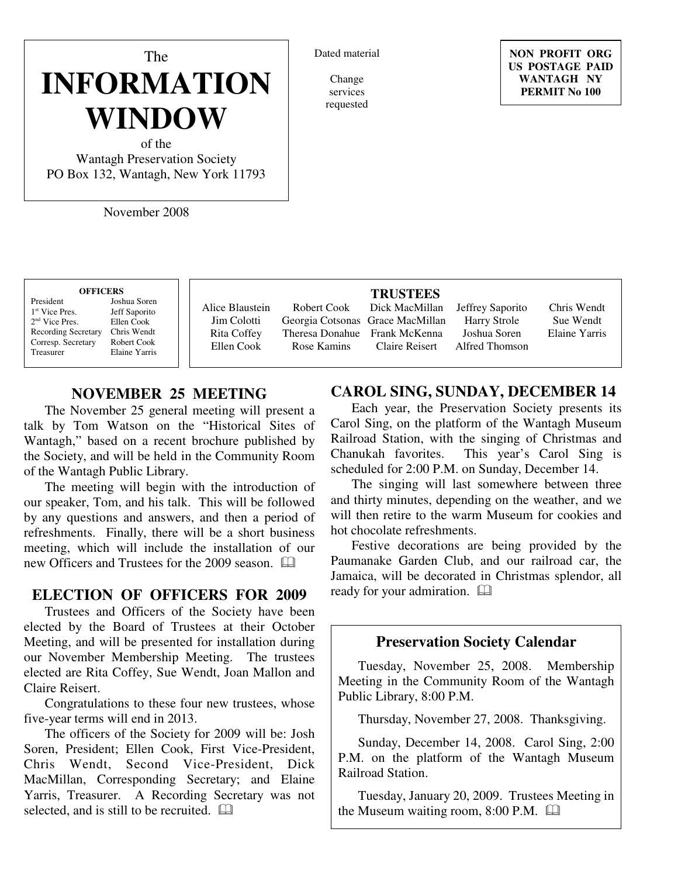# The **INFORMATION WINDOW**

of the Wantagh Preservation Society PO Box 132, Wantagh, New York 11793

November 2008

#### Dated material

Change services requested

**NON PROFIT ORG US POSTAGE PAID WANTAGH NY PERMIT No 100**

#### **OFFICERS** President Joshua Soren  $1<sup>st</sup>$  Vice Pres. Jeff Saporito<br>Ellen Cook 2 nd Vice Pres. Ellen Cook Recording Secretary Chris Wendt Corresp. Secretary Robert Cook

Treasurer Elaine Yarris

Alice Blaustein Jim Colotti Rita Coffey Ellen Cook Robert Cook Georgia Cotsonas Rose Kamins

#### **TRUSTEES**

Theresa Donahue Frank McKenna Dick MacMillan Grace MacMillan Claire Reisert

Jeffrey Saporito Harry Strole Joshua Soren Alfred Thomson

Chris Wendt Sue Wendt Elaine Yarris

# **NOVEMBER 25 MEETING**

The November 25 general meeting will present a talk by Tom Watson on the "Historical Sites of Wantagh," based on a recent brochure published by the Society, and will be held in the Community Room of the Wantagh Public Library.

The meeting will begin with the introduction of our speaker, Tom, and his talk. This will be followed by any questions and answers, and then a period of refreshments. Finally, there will be a short business meeting, which will include the installation of our new Officers and Trustees for the 2009 season.

## **ELECTION OF OFFICERS FOR 2009**

Trustees and Officers of the Society have been elected by the Board of Trustees at their October Meeting, and will be presented for installation during our November Membership Meeting. The trustees elected are Rita Coffey, Sue Wendt, Joan Mallon and Claire Reisert.

Congratulations to these four new trustees, whose five-year terms will end in 2013.

The officers of the Society for 2009 will be: Josh Soren, President; Ellen Cook, First Vice-President, Chris Wendt, Second Vice-President, Dick MacMillan, Corresponding Secretary; and Elaine Yarris, Treasurer. A Recording Secretary was not selected, and is still to be recruited.  $\Box$ 

# **CAROL SING, SUNDAY, DECEMBER 14**

Each year, the Preservation Society presents its Carol Sing, on the platform of the Wantagh Museum Railroad Station, with the singing of Christmas and Chanukah favorites. This year's Carol Sing is scheduled for 2:00 P.M. on Sunday, December 14.

The singing will last somewhere between three and thirty minutes, depending on the weather, and we will then retire to the warm Museum for cookies and hot chocolate refreshments.

Festive decorations are being provided by the Paumanake Garden Club, and our railroad car, the Jamaica, will be decorated in Christmas splendor, all ready for your admiration.

## **Preservation Society Calendar**

Tuesday, November 25, 2008. Membership Meeting in the Community Room of the Wantagh Public Library, 8:00 P.M.

Thursday, November 27, 2008. Thanksgiving.

Sunday, December 14, 2008. Carol Sing, 2:00 P.M. on the platform of the Wantagh Museum Railroad Station.

Tuesday, January 20, 2009. Trustees Meeting in the Museum waiting room, 8:00 P.M.